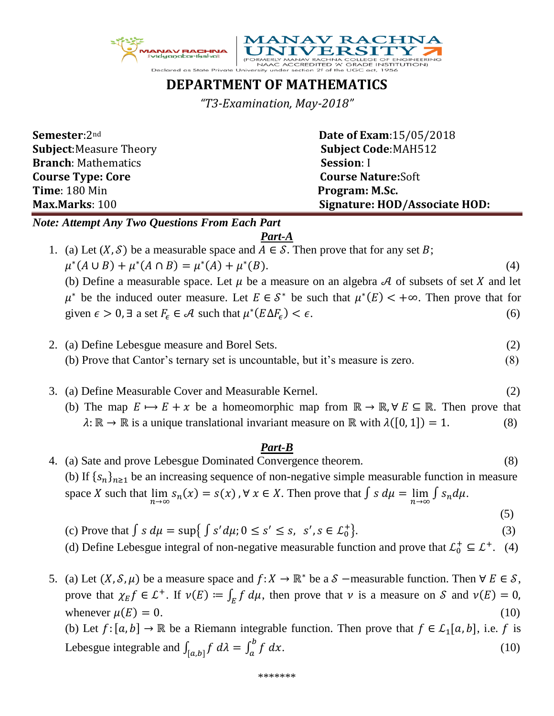



## **DEPARTMENT OF MATHEMATICS**

*"T3-Examination, May-2018"*

| <b>Semester:2nd</b>            | <b>Date of Exam:15/05/2018</b> |
|--------------------------------|--------------------------------|
| <b>Subject: Measure Theory</b> | <b>Subject Code:MAH512</b>     |
| <b>Branch: Mathematics</b>     | <b>Session: I</b>              |
| <b>Course Type: Core</b>       | <b>Course Nature:Soft</b>      |
| <b>Time: 180 Min</b>           | Program: M.Sc.                 |
| Max.Marks: 100                 | Signature: HOD/Associate HOD:  |

*Note: Attempt Any Two Questions From Each Part*

*Part-A*

1. (a) Let  $(X, \mathcal{S})$  be a measurable space and  $A \in \mathcal{S}$ . Then prove that for any set B;  $\mu^*(A \cup B) + \mu^*(A \cap B) = \mu^*(A) + \mu^*$  $(B).$  (4) (b) Define a measurable space. Let  $\mu$  be a measure on an algebra A of subsets of set X and let

 $\mu^*$  be the induced outer measure. Let  $E \in S^*$  be such that  $\mu^*(E) < +\infty$ . Then prove that for given  $\epsilon > 0$ ,  $\exists$  a set  $F_{\epsilon} \in \mathcal{A}$  such that  $\mu^*(E \Delta F_{\epsilon}) < \epsilon$ . (6)

- 2. (a) Define Lebesgue measure and Borel Sets. (2) (b) Prove that Cantor's ternary set is uncountable, but it's measure is zero. (8)
- 3. (a) Define Measurable Cover and Measurable Kernel. (2)
	- (b) The map  $E \mapsto E + x$  be a homeomorphic map from  $\mathbb{R} \to \mathbb{R}$ ,  $\forall E \subseteq \mathbb{R}$ . Then prove that  $\lambda: \mathbb{R} \to \mathbb{R}$  is a unique translational invariant measure on  $\mathbb{R}$  with  $\lambda([0, 1]) = 1$ . (8)

## *Part-B*

- 4. (a) Sate and prove Lebesgue Dominated Convergence theorem. (8) (b) If  $\{s_n\}_{n\geq 1}$  be an increasing sequence of non-negative simple measurable function in measure space X such that  $\lim_{n\to\infty} s_n(x) = s(x)$ ,  $\forall x \in X$ . Then prove that  $\int s d\mu = \lim_{n\to\infty} \int s_n d\mu$ . (5)
	- (c) Prove that  $\int s d\mu = \sup \{ \int s' d\mu; 0 \le s' \le s, s', s \in \mathcal{L}_0^+\}$ }.  $(3)$
	- (d) Define Lebesgue integral of non-negative measurable function and prove that  $\mathcal{L}_0^+ \subseteq \mathcal{L}^+$ . (4)
- 5. (a) Let  $(X, \mathcal{S}, \mu)$  be a measure space and  $f: X \to \mathbb{R}^*$  be a  $\mathcal{S}$  –measurable function. Then  $\forall E \in \mathcal{S}$ , prove that  $\chi_E f \in L^+$ . If  $\nu(E) := \int_E f d\mu$ , then prove that  $\nu$  is a measure on  $S$  and  $\nu(E) = 0$ , whenever  $\mu(E) = 0$ . (10) (b) Let  $f: [a, b] \to \mathbb{R}$  be a Riemann integrable function. Then prove that  $f \in \mathcal{L}_1[a, b]$ , i.e. f is

Lebesgue integrable and  $\int_{[a,b]} f \, d\lambda = \int_a^b f \, dx$ .  $(10)$